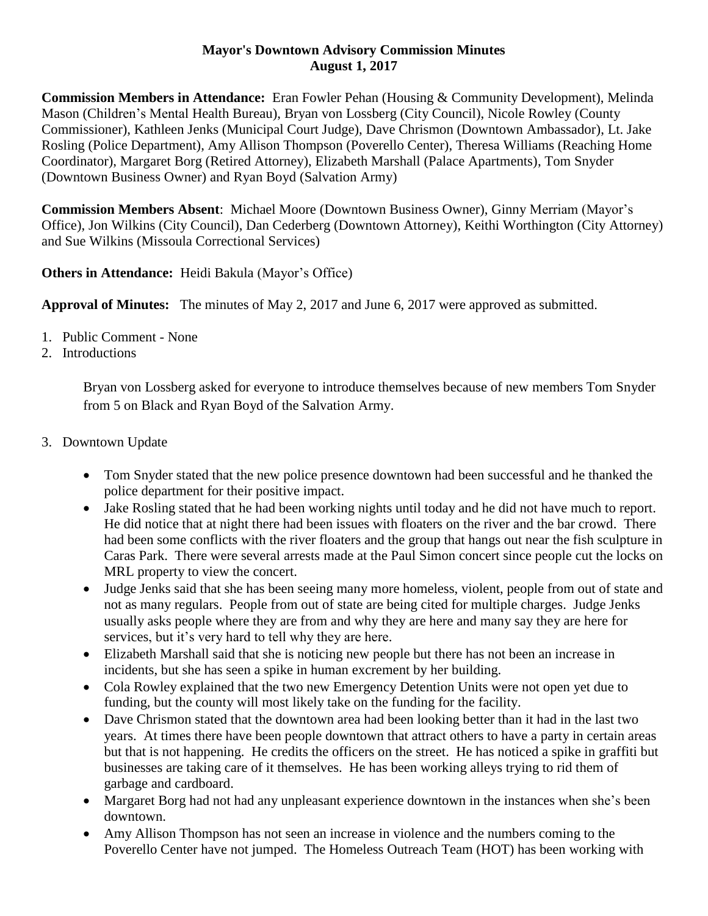## **Mayor's Downtown Advisory Commission Minutes August 1, 2017**

**Commission Members in Attendance:** Eran Fowler Pehan (Housing & Community Development), Melinda Mason (Children's Mental Health Bureau), Bryan von Lossberg (City Council), Nicole Rowley (County Commissioner), Kathleen Jenks (Municipal Court Judge), Dave Chrismon (Downtown Ambassador), Lt. Jake Rosling (Police Department), Amy Allison Thompson (Poverello Center), Theresa Williams (Reaching Home Coordinator), Margaret Borg (Retired Attorney), Elizabeth Marshall (Palace Apartments), Tom Snyder (Downtown Business Owner) and Ryan Boyd (Salvation Army)

**Commission Members Absent**: Michael Moore (Downtown Business Owner), Ginny Merriam (Mayor's Office), Jon Wilkins (City Council), Dan Cederberg (Downtown Attorney), Keithi Worthington (City Attorney) and Sue Wilkins (Missoula Correctional Services)

**Others in Attendance:** Heidi Bakula (Mayor's Office)

**Approval of Minutes:** The minutes of May 2, 2017 and June 6, 2017 were approved as submitted.

- 1. Public Comment None
- 2. Introductions

Bryan von Lossberg asked for everyone to introduce themselves because of new members Tom Snyder from 5 on Black and Ryan Boyd of the Salvation Army.

- 3. Downtown Update
	- Tom Snyder stated that the new police presence downtown had been successful and he thanked the police department for their positive impact.
	- Jake Rosling stated that he had been working nights until today and he did not have much to report. He did notice that at night there had been issues with floaters on the river and the bar crowd. There had been some conflicts with the river floaters and the group that hangs out near the fish sculpture in Caras Park. There were several arrests made at the Paul Simon concert since people cut the locks on MRL property to view the concert.
	- Judge Jenks said that she has been seeing many more homeless, violent, people from out of state and not as many regulars. People from out of state are being cited for multiple charges. Judge Jenks usually asks people where they are from and why they are here and many say they are here for services, but it's very hard to tell why they are here.
	- Elizabeth Marshall said that she is noticing new people but there has not been an increase in incidents, but she has seen a spike in human excrement by her building.
	- Cola Rowley explained that the two new Emergency Detention Units were not open yet due to funding, but the county will most likely take on the funding for the facility.
	- Dave Chrismon stated that the downtown area had been looking better than it had in the last two years. At times there have been people downtown that attract others to have a party in certain areas but that is not happening. He credits the officers on the street. He has noticed a spike in graffiti but businesses are taking care of it themselves. He has been working alleys trying to rid them of garbage and cardboard.
	- Margaret Borg had not had any unpleasant experience downtown in the instances when she's been downtown.
	- Amy Allison Thompson has not seen an increase in violence and the numbers coming to the Poverello Center have not jumped. The Homeless Outreach Team (HOT) has been working with